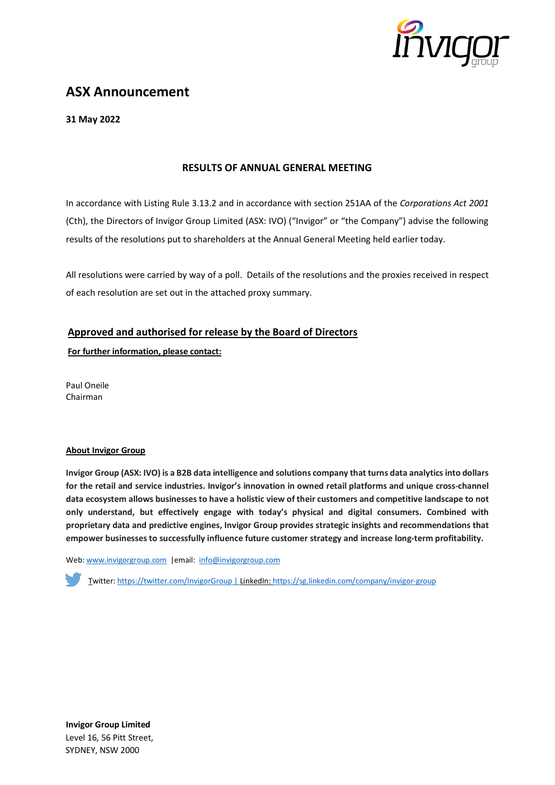

# **ASX Announcement**

**31 May 2022**

## **RESULTS OF ANNUAL GENERAL MEETING**

In accordance with Listing Rule 3.13.2 and in accordance with section 251AA of the *Corporations Act 2001* (Cth), the Directors of Invigor Group Limited (ASX: IVO) ("Invigor" or "the Company") advise the following results of the resolutions put to shareholders at the Annual General Meeting held earlier today.

All resolutions were carried by way of a poll. Details of the resolutions and the proxies received in respect of each resolution are set out in the attached proxy summary.

# **Approved and authorised for release by the Board of Directors**

**For further information, please contact:**

Paul Oneile Chairman

#### **About Invigor Group**

**Invigor Group (ASX: IVO) is a B2B data intelligence and solutions company that turns data analytics into dollars for the retail and service industries. Invigor's innovation in owned retail platforms and unique cross-channel data ecosystem allows businesses to have a holistic view of their customers and competitive landscape to not only understand, but effectively engage with today's physical and digital consumers. Combined with proprietary data and predictive engines, Invigor Group provides strategic insights and recommendations that empower businesses to successfully influence future customer strategy and increase long-term profitability.**

Web[: www.invigorgroup.com](http://www.invigorgroup.com/) |email: [info@invigorgroup.com](mailto:info@invigorgroup.com)

Twitter: <https://twitter.com/InvigorGroup> | LinkedIn[: https://sg.linkedin.com/company/invigor-group](https://sg.linkedin.com/company/invigor-group)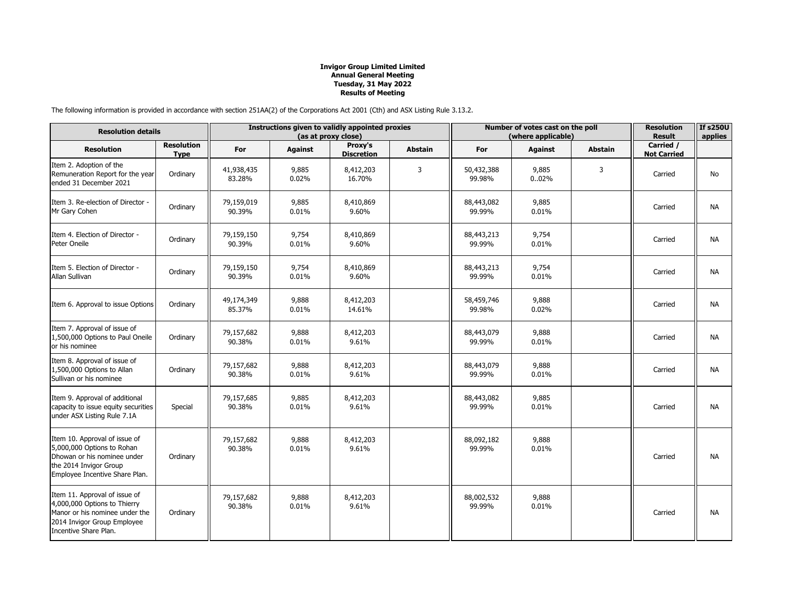The following information is provided in accordance with section 251AA(2) of the Corporations Act 2001 (Cth) and ASX Listing Rule 3.13.2.

| <b>Resolution details</b>                                                                                                                               |                                  | Instructions given to validly appointed proxies<br>(as at proxy close) |                |                              |                | Number of votes cast on the poll<br>(where applicable) |                |                | <b>Resolution</b><br><b>Result</b> | <b>If s250U</b><br>applies |
|---------------------------------------------------------------------------------------------------------------------------------------------------------|----------------------------------|------------------------------------------------------------------------|----------------|------------------------------|----------------|--------------------------------------------------------|----------------|----------------|------------------------------------|----------------------------|
| <b>Resolution</b>                                                                                                                                       | <b>Resolution</b><br><b>Type</b> | For                                                                    | <b>Against</b> | Proxy's<br><b>Discretion</b> | <b>Abstain</b> | For                                                    | <b>Against</b> | <b>Abstain</b> | Carried /<br><b>Not Carried</b>    |                            |
| Item 2. Adoption of the<br>Remuneration Report for the year<br>ended 31 December 2021                                                                   | Ordinary                         | 41,938,435<br>83.28%                                                   | 9,885<br>0.02% | 8,412,203<br>16.70%          | 3              | 50,432,388<br>99.98%                                   | 9,885<br>0.02% | 3              | Carried                            | No                         |
| Item 3. Re-election of Director -<br>Mr Gary Cohen                                                                                                      | Ordinary                         | 79,159,019<br>90.39%                                                   | 9,885<br>0.01% | 8,410,869<br>9.60%           |                | 88,443,082<br>99.99%                                   | 9,885<br>0.01% |                | Carried                            | <b>NA</b>                  |
| Item 4. Election of Director -<br>Peter Oneile                                                                                                          | Ordinary                         | 79,159,150<br>90.39%                                                   | 9,754<br>0.01% | 8,410,869<br>9.60%           |                | 88,443,213<br>99.99%                                   | 9,754<br>0.01% |                | Carried                            | <b>NA</b>                  |
| Item 5. Election of Director -<br>Allan Sullivan                                                                                                        | Ordinary                         | 79,159,150<br>90.39%                                                   | 9,754<br>0.01% | 8,410,869<br>9.60%           |                | 88,443,213<br>99.99%                                   | 9,754<br>0.01% |                | Carried                            | <b>NA</b>                  |
| Item 6. Approval to issue Options                                                                                                                       | Ordinary                         | 49,174,349<br>85.37%                                                   | 9,888<br>0.01% | 8,412,203<br>14.61%          |                | 58,459,746<br>99.98%                                   | 9,888<br>0.02% |                | Carried                            | <b>NA</b>                  |
| Item 7. Approval of issue of<br>1,500,000 Options to Paul Oneile<br>or his nominee                                                                      | Ordinary                         | 79,157,682<br>90.38%                                                   | 9,888<br>0.01% | 8,412,203<br>9.61%           |                | 88,443,079<br>99.99%                                   | 9,888<br>0.01% |                | Carried                            | <b>NA</b>                  |
| Item 8. Approval of issue of<br>1,500,000 Options to Allan<br>Sullivan or his nominee                                                                   | Ordinary                         | 79,157,682<br>90.38%                                                   | 9,888<br>0.01% | 8,412,203<br>9.61%           |                | 88,443,079<br>99.99%                                   | 9,888<br>0.01% |                | Carried                            | NA                         |
| Item 9. Approval of additional<br>capacity to issue equity securities<br>under ASX Listing Rule 7.1A                                                    | Special                          | 79,157,685<br>90.38%                                                   | 9,885<br>0.01% | 8,412,203<br>9.61%           |                | 88,443,082<br>99.99%                                   | 9,885<br>0.01% |                | Carried                            | NA                         |
| Item 10. Approval of issue of<br>5,000,000 Options to Rohan<br>Dhowan or his nominee under<br>the 2014 Invigor Group<br>Employee Incentive Share Plan.  | Ordinary                         | 79,157,682<br>90.38%                                                   | 9,888<br>0.01% | 8,412,203<br>9.61%           |                | 88,092,182<br>99.99%                                   | 9,888<br>0.01% |                | Carried                            | NA                         |
| Item 11. Approval of issue of<br>4,000,000 Options to Thierry<br>Manor or his nominee under the<br>2014 Invigor Group Employee<br>Incentive Share Plan. | Ordinary                         | 79,157,682<br>90.38%                                                   | 9,888<br>0.01% | 8,412,203<br>9.61%           |                | 88,002,532<br>99.99%                                   | 9,888<br>0.01% |                | Carried                            | NA                         |

## **Invigor Group Limited Limited Annual General Meeting Tuesday, 31 May 2022 Results of Meeting**